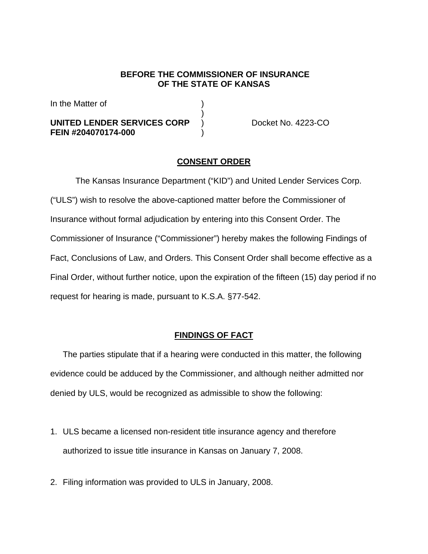#### **BEFORE THE COMMISSIONER OF INSURANCE OF THE STATE OF KANSAS**

In the Matter of

# **UNITED LENDER SERVICES CORP** ) Docket No. 4223-CO **FEIN #204070174-000** )

 $)$ 

# **CONSENT ORDER**

The Kansas Insurance Department ("KID") and United Lender Services Corp. ("ULS") wish to resolve the above-captioned matter before the Commissioner of Insurance without formal adjudication by entering into this Consent Order. The Commissioner of Insurance ("Commissioner") hereby makes the following Findings of Fact, Conclusions of Law, and Orders. This Consent Order shall become effective as a Final Order, without further notice, upon the expiration of the fifteen (15) day period if no request for hearing is made, pursuant to K.S.A. §77-542.

## **FINDINGS OF FACT**

The parties stipulate that if a hearing were conducted in this matter, the following evidence could be adduced by the Commissioner, and although neither admitted nor denied by ULS, would be recognized as admissible to show the following:

- 1. ULS became a licensed non-resident title insurance agency and therefore authorized to issue title insurance in Kansas on January 7, 2008.
- 2. Filing information was provided to ULS in January, 2008.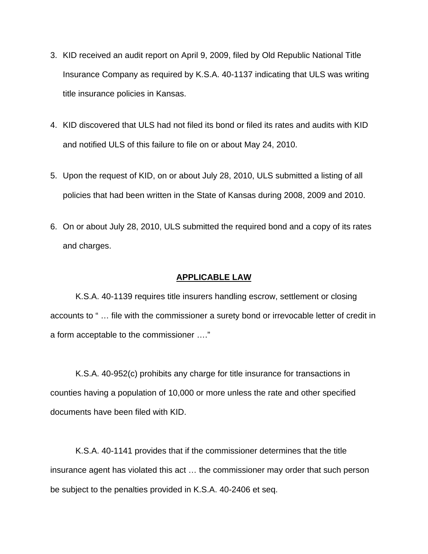- 3. KID received an audit report on April 9, 2009, filed by Old Republic National Title Insurance Company as required by K.S.A. 40-1137 indicating that ULS was writing title insurance policies in Kansas.
- 4. KID discovered that ULS had not filed its bond or filed its rates and audits with KID and notified ULS of this failure to file on or about May 24, 2010.
- 5. Upon the request of KID, on or about July 28, 2010, ULS submitted a listing of all policies that had been written in the State of Kansas during 2008, 2009 and 2010.
- 6. On or about July 28, 2010, ULS submitted the required bond and a copy of its rates and charges.

#### **APPLICABLE LAW**

K.S.A. 40-1139 requires title insurers handling escrow, settlement or closing accounts to " … file with the commissioner a surety bond or irrevocable letter of credit in a form acceptable to the commissioner …."

K.S.A. 40-952(c) prohibits any charge for title insurance for transactions in counties having a population of 10,000 or more unless the rate and other specified documents have been filed with KID.

K.S.A. 40-1141 provides that if the commissioner determines that the title insurance agent has violated this act … the commissioner may order that such person be subject to the penalties provided in K.S.A. 40-2406 et seq.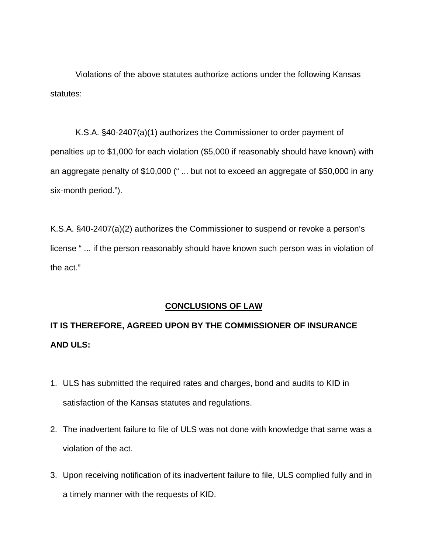Violations of the above statutes authorize actions under the following Kansas statutes:

K.S.A. §40-2407(a)(1) authorizes the Commissioner to order payment of penalties up to \$1,000 for each violation (\$5,000 if reasonably should have known) with an aggregate penalty of \$10,000 (" ... but not to exceed an aggregate of \$50,000 in any six-month period.").

K.S.A. §40-2407(a)(2) authorizes the Commissioner to suspend or revoke a person's license " ... if the person reasonably should have known such person was in violation of the act."

## **CONCLUSIONS OF LAW**

# **IT IS THEREFORE, AGREED UPON BY THE COMMISSIONER OF INSURANCE AND ULS:**

- 1. ULS has submitted the required rates and charges, bond and audits to KID in satisfaction of the Kansas statutes and regulations.
- 2. The inadvertent failure to file of ULS was not done with knowledge that same was a violation of the act.
- 3. Upon receiving notification of its inadvertent failure to file, ULS complied fully and in a timely manner with the requests of KID.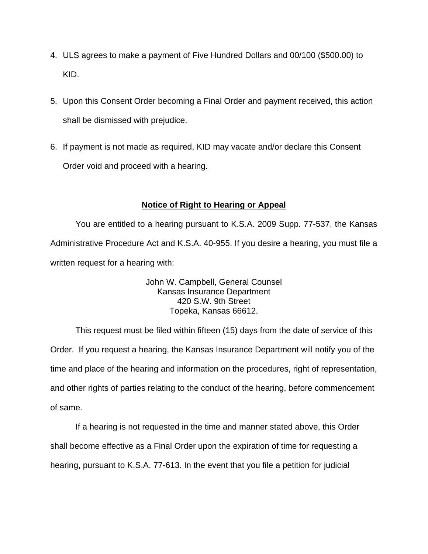- 4. ULS agrees to make a payment of Five Hundred Dollars and 00/100 (\$500.00) to KID.
- 5. Upon this Consent Order becoming a Final Order and payment received, this action shall be dismissed with prejudice.
- 6. If payment is not made as required, KID may vacate and/or declare this Consent Order void and proceed with a hearing.

# **Notice of Right to Hearing or Appeal**

You are entitled to a hearing pursuant to K.S.A. 2009 Supp. 77-537, the Kansas Administrative Procedure Act and K.S.A. 40-955. If you desire a hearing, you must file a written request for a hearing with:

> John W. Campbell, General Counsel Kansas Insurance Department 420 S.W. 9th Street Topeka, Kansas 66612.

This request must be filed within fifteen (15) days from the date of service of this Order. If you request a hearing, the Kansas Insurance Department will notify you of the time and place of the hearing and information on the procedures, right of representation, and other rights of parties relating to the conduct of the hearing, before commencement of same.

If a hearing is not requested in the time and manner stated above, this Order shall become effective as a Final Order upon the expiration of time for requesting a hearing, pursuant to K.S.A. 77-613. In the event that you file a petition for judicial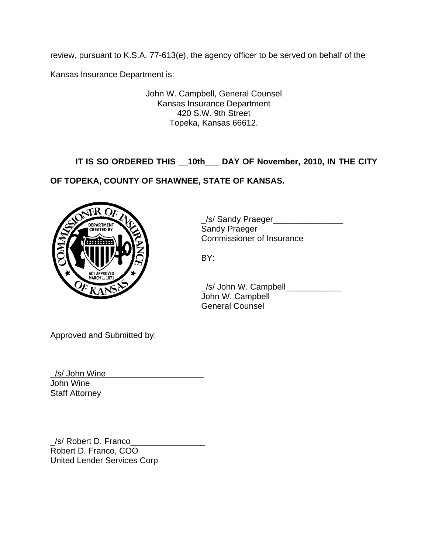review, pursuant to K.S.A. 77-613(e), the agency officer to be served on behalf of the

Kansas Insurance Department is:

John W. Campbell, General Counsel Kansas Insurance Department 420 S.W. 9th Street Topeka, Kansas 66612.

**IT IS SO ORDERED THIS \_\_10th\_\_\_ DAY OF November, 2010, IN THE CITY** 

**OF TOPEKA, COUNTY OF SHAWNEE, STATE OF KANSAS.** 



\_/s/ Sandy Praeger\_\_\_\_\_\_\_\_\_\_\_\_\_\_\_ Commissioner of Insurance

 \_/s/ John W. Campbell\_\_\_\_\_\_\_\_\_\_\_\_ John W. Campbell General Counsel

Approved and Submitted by:

/s/ John Wine John Wine Staff Attorney

\_/s/ Robert D. Franco\_\_\_\_\_\_\_\_\_\_\_\_\_\_\_\_ Robert D. Franco, COO United Lender Services Corp